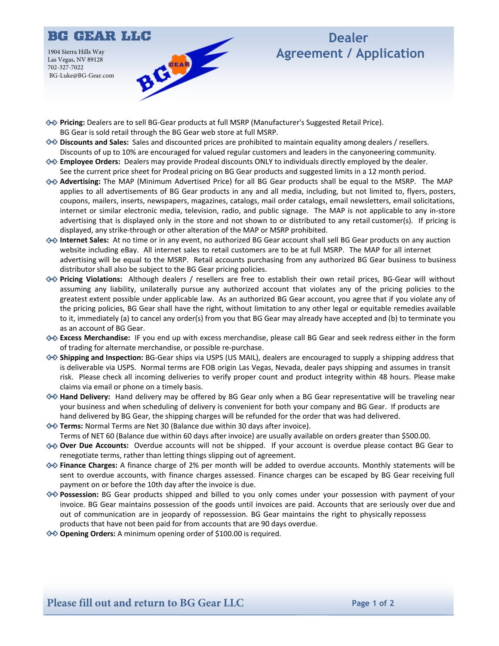

## **Dealer Agreement / Application**

- **Pricing:** Dealers are to sell BG-Gear products at full MSRP (Manufacturer's Suggested Retail Price). BG Gear is sold retail through the BG Gear web store at full MSRP.
- **→ Discounts and Sales:** Sales and discounted prices are prohibited to maintain equality among dealers / resellers. Discounts of up to 10% are encouraged for valued regular customers and leaders in the canyoneering community.
- **<del>◇</del> Employee Orders:** Dealers may provide Prodeal discounts ONLY to individuals directly employed by the dealer. See the current price sheet for Prodeal pricing on BG Gear products and suggested limits in a 12 month period.
- **Advertising:** The MAP (Minimum Advertised Price) for all BG Gear products shall be equal to the MSRP. The MAP applies to all advertisements of BG Gear products in any and all media, including, but not limited to, flyers, posters, coupons, mailers, inserts, newspapers, magazines, catalogs, mail order catalogs, email newsletters, email solicitations, internet or similar electronic media, television, radio, and public signage. The MAP is not applicable to any in-store advertising that is displayed only in the store and not shown to or distributed to any retail customer(s). If pricing is displayed, any strike-through or other alteration of the MAP or MSRP prohibited.
- $\diamondsuit$  **Internet Sales:** At no time or in any event, no authorized BG Gear account shall sell BG Gear products on any auction website including eBay. All internet sales to retail customers are to be at full MSRP. The MAP for all internet advertising will be equal to the MSRP. Retail accounts purchasing from any authorized BG Gear business to business distributor shall also be subject to the BG Gear pricing policies.
- **Pricing Violations:** Although dealers / resellers are free to establish their own retail prices, BG-Gear will without assuming any liability, unilaterally pursue any authorized account that violates any of the pricing policies to the greatest extent possible under applicable law. As an authorized BG Gear account, you agree that if you violate any of the pricing policies, BG Gear shall have the right, without limitation to any other legal or equitable remedies available to it, immediately (a) to cancel any order(s) from you that BG Gear may already have accepted and (b) to terminate you as an account of BG Gear.
- **Excess Merchandise:** IF you end up with excess merchandise, please call BG Gear and seek redress either in the form of trading for alternate merchandise, or possible re-purchase.
- $\diamond$  **shipping and Inspection:** BG-Gear ships via USPS (US MAIL), dealers are encouraged to supply a shipping address that is deliverable via USPS. Normal terms are FOB origin Las Vegas, Nevada, dealer pays shipping and assumes in transit risk. Please check all incoming deliveries to verify proper count and product integrity within 48 hours. Please make claims via email or phone on a timely basis.
- **Hand Delivery:** Hand delivery may be offered by BG Gear only when a BG Gear representative will be traveling near your business and when scheduling of delivery is convenient for both your company and BG Gear. If products are hand delivered by BG Gear, the shipping charges will be refunded for the order that was had delivered.
- **Terms:** Normal Terms are Net 30 (Balance due within 30 days after invoice). Terms of NET 60 (Balance due within 60 days after invoice) are usually available on orders greater than \$500.00.
- **◆ Over Due Accounts:** Overdue accounts will not be shipped. If your account is overdue please contact BG Gear to renegotiate terms, rather than letting things slipping out of agreement.
- $\diamondsuit$  **Finance Charges:** A finance charge of 2% per month will be added to overdue accounts. Monthly statements will be sent to overdue accounts, with finance charges assessed. Finance charges can be escaped by BG Gear receiving full payment on or before the 10th day after the invoice is due.
- ◆ **Possession:** BG Gear products shipped and billed to you only comes under your possession with payment of your invoice. BG Gear maintains possession of the goods until invoices are paid. Accounts that are seriously over due and out of communication are in jeopardy of repossession. BG Gear maintains the right to physically repossess products that have not been paid for from accounts that are 90 days overdue.
- **◆◆ Opening Orders:** A minimum opening order of \$100.00 is required.